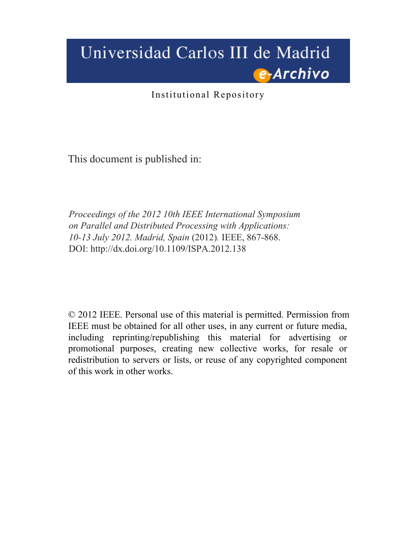# Universidad Carlos III de Madrid e-Archivo

Institutional Repository

This document is published in:

*Proceedings of the 2012 10th IEEE International Symposium on Parallel and Distributed Processing with Applications: 10-13 July 2012. Madrid, Spain* (2012)*.* IEEE, 867-868. DOI:<http://dx.doi.org/10.1109/ISPA.2012.138>

© 2012 IEEE. Personal use of this material is permitted. Permission from IEEE must be obtained for all other uses, in any current or future media, including reprinting/republishing this material for advertising or promotional purposes, creating new collective works, for resale or redistribution to servers or lists, or reuse of any copyrighted component of this work in other works.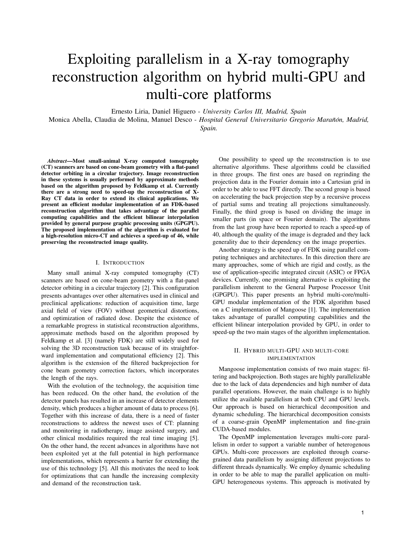# Exploiting parallelism in a X-ray tomography reconstruction algorithm on hybrid multi-GPU and multi-core platforms

Ernesto Liria, Daniel Higuero - *University Carlos III, Madrid, Spain*

Monica Abella, Claudia de Molina, Manuel Desco - *Hospital General Universitario Gregorio Maran˜on, Madrid, ´*

*Spain.*

*Abstract*—Most small-animal X-ray computed tomography (CT) scanners are based on cone-beam geometry with a flat-panel detector orbiting in a circular trajectory. Image reconstruction in these systems is usually performed by approximate methods based on the algorithm proposed by Feldkamp et al. Currently there are a strong need to speed-up the reconstruction of X-Ray CT data in order to extend its clinical applications. We present an efficient modular implementation of an FDK-based reconstruction algorithm that takes advantage of the parallel computing capabilities and the efficient bilinear interpolation provided by general purpose graphic processing units (GPGPU). The proposed implementation of the algorithm is evaluated for a high-resolution micro-CT and achieves a speed-up of 46, while preserving the reconstructed image quality.

### I. INTRODUCTION

Many small animal X-ray computed tomography (CT) scanners are based on cone-beam geometry with a flat-panel detector orbiting in a circular trajectory [2]. This configuration presents advantages over other alternatives used in clinical and preclinical applications: reduction of acquisition time, large axial field of view (FOV) without geometrical distortions, and optimization of radiated dose. Despite the existence of a remarkable progress in statistical reconstruction algorithms, approximate methods based on the algorithm proposed by Feldkamp et al. [3] (namely FDK) are still widely used for solving the 3D reconstruction task because of its straightforward implementation and computational efficiency [2]. This algorithm is the extension of the filtered backprojection for cone beam geometry correction factors, which incorporates the length of the rays.

With the evolution of the technology, the acquisition time has been reduced. On the other hand, the evolution of the detector panels has resulted in an increase of detector elements density, which produces a higher amount of data to process [6]. Together with this increase of data, there is a need of faster reconstructions to address the newest uses of CT: planning and monitoring in radiotherapy, image assisted surgery, and other clinical modalities required the real time imaging [5]. On the other hand, the recent advances in algorithms have not been exploited yet at the full potential in high performance implementations, which represents a barrier for extending the use of this technology [5]. All this motivates the need to look for optimizations that can handle the increasing complexity and demand of the reconstruction task.

One possibility to speed up the reconstruction is to use alternative algorithms. These algorithms could be classified in three groups. The first ones are based on regrinding the projection data in the Fourier domain into a Cartesian grid in order to be able to use FFT directly. The second group is based on accelerating the back projection step by a recursive process of partial sums and treating all projections simultaneously. Finally, the third group is based on dividing the image in smaller parts (in space or Fourier domain). The algorithms from the last group have been reported to reach a speed-up of 40, although the quality of the image is degraded and they lack generality due to their dependency on the image properties.

Another strategy is the speed up of FDK using parallel computing techniques and architectures. In this direction there are many approaches, some of which are rigid and costly, as the use of application-specific integrated circuit (ASIC) or FPGA devices. Currently, one promising alternative is exploiting the parallelism inherent to the General Purpose Processor Unit (GPGPU). This paper presents an hybrid multi-core/multi-GPU modular implementation of the FDK algorithm based on a C implementation of Mangoose [1]. The implementation takes advantage of parallel computing capabilities and the efficient bilinear interpolation provided by GPU, in order to speed-up the two main stages of the algorithm implementation.

## II. HYBRID MULTI-GPU AND MULTI-CORE IMPLEMENTATION

Mangoose implementation consists of two main stages: filtering and backprojection. Both stages are highly parallelizable due to the lack of data dependencies and high number of data parallel operations. However, the main challenge is to highly utilize the available parallelism at both CPU and GPU levels. Our approach is based on hierarchical decomposition and dynamic scheduling. The hierarchical decomposition consists of a coarse-grain OpenMP implementation and fine-grain CUDA-based modules.

The OpenMP implementation leverages multi-core parallelism in order to support a variable number of heterogenous GPUs. Multi-core processors are exploited through coarsegrained data parallelism by assigning different projections to different threads dynamically. We employ dynamic scheduling in order to be able to map the parallel application on multi-GPU heterogeneous systems. This approach is motivated by